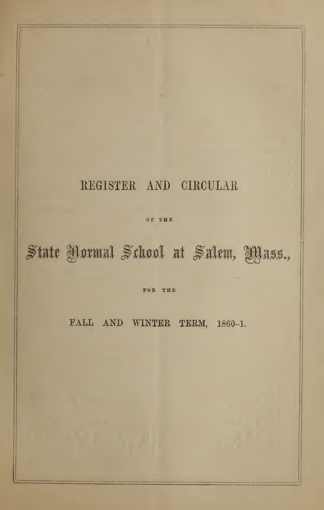# REGISTER AND CIRCULAR

or THE

# State Yormal School at Salem, Yyass.,

FOR THE

FALL AND WINTER TERM, 1860-1.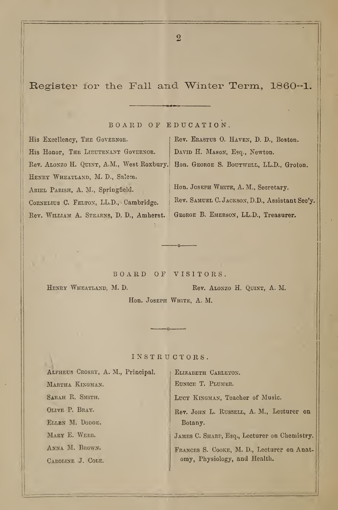# Register for the Fall and Winter Term, 1860-1.

BOARD OF EDUCATION.

His Excellency, The Governor. His Honor, The LIEUTENANT GOVERNOR. Rev. ALONZO H. QUINT, A.M., West Roxbury. Hon. GEORGE S. BOUTWELL, LL.D., Groton. HENRY WHEATLAND, M. D., Salem. ARIEL PARISH, A. M., Springfield. | Hon. Joseph White, A. M., Secretary. Rev. William A. Stearns, D. D., Amherst. George B. Emerson, LL.D., Treasurer.

Rev. Erastus 0. Haven, D. D., Boston. DAVID H. MASON, Esq., Newton.

CORNELIUS C. FELTON, LL.D., Cambridge. Rev. SAMUEL C. JACKSON, D.D., Assistant Sec'y.

BOARD OF VISITORS.

HENRY WHEATLAND, M. D. Rev. ALONZO H. QUINT, A. M. Hon. Joseph White, A. M.

#### INSTRUCTORS.

| ALPHEUS CROSBY, A. M., Principal. | ELIZABETH CARLETON.                          |
|-----------------------------------|----------------------------------------------|
| MARTHA KINGMAN.                   | EUNICE T. PLUMER.                            |
| SARAH R. SMITH.                   | LUCY KINGMAN, Teacher of Music.              |
| OLIVE P. BRAY.                    | Rev. JOHN L. RUSSELL, A. M., Lecturer on     |
| ELLEN M. DODGE.                   | Botany.                                      |
| MARY E. WEBB.                     | JAMES C. SHARP, Esq., Lecturer on Chemistry. |
| ANNA M. BROWN.                    | FRANCES S. COOKE, M. D., Lecturer on Anat-   |
| CAROLINE J. COLE.                 | omy, Physiology, and Health.                 |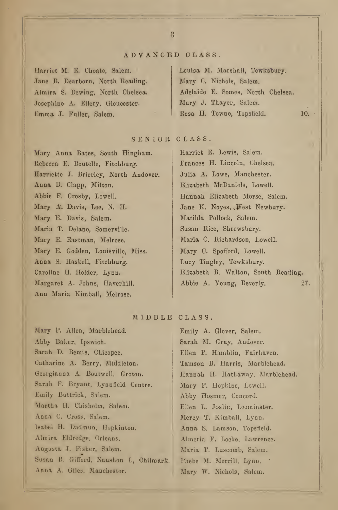#### ADVANCED CLASS .

Harriet M. E. Choato, Salem. Jane B. Dearborn, North Reading. Almira S. Dewing, North Chelsea. Josephine A. Ellery, Gloucester. Emma J. Fuller, Salem.

Louisa M. Marshall, Tewksbury. Mary C. Nichols, Salem. Adelaide E. Somes, North Chelsea. Mary J. Thayer, Salem. Rosa H. Towne, Topsfield. 10.

# SENIOR CLASS.

Mary Anna Bates, South Hingham. Rebecca E. Boutelle, Fitchburg. Harriette J. Brierley, North Andover. Anna B. Clapp, Milton. Abbie F. Crosby, Lowell. Mary A. Davis, Lee, N. H. Mary E. Davis, Salem. Maria T. Delano, Somerville. Mary E. Eastman, Melrose. Mary E. Godden, Louisville, Miss. Anna S. Haskell, Fitchburg. Caroline H. Holder, Lynn. Margaret A. Johns, Haverhill. Ann Maria Kimball, Melrose.

Harriet E. Lewis, Salem. Frances H. Lincoln, Chelsea. Julia A. Lowe, Manchester. Elizabeth McDaniels, Lowell. Hannah Elizabeth Morse, Salem. Jane K. Noyes, .West Newbury. Matilda Pollock, Salem. Susan Rice, Shrewsbury. Maria C. Richardson, Lowell. Mary C. Spofford, Lowell. Lucy Tingley, Tewksbury. Elizabeth B. Walton, South Reading. Abbie A. Young, Beverly. 27.

#### MIDDLE CLASS.

Mary P. Allen, Marblehead. Abby Baker, Ipswich. Sarah D. Bemis, Chicopee. Catharine A. Berry, Middleton. Georgianna A. Boutwell, Grotou. Sarah F. Bryant, Lynnfield Centre. Emily Buttrick, Salem. Martha H. Chisholm, Salem. Anna C. Cross, Salem. Isabel H. Dadmun, Hopkinton. Almira Eldredge, Orleans. Augusta J. Fisher, Salem. Susan R. Gilford, Naushon I., Chilmark. Anna A. Giles, Manchester.

Emily A. Glover, Salem. Sarah M. Gray, Andover. Ellen P. Hamblin, Fairhaven. Tamson B. Harris, Marblehead. Hannah H. Hathaway, Marblehead. Mary F. Hopkins, Lowell. Abby Hosmer, Concord. Ellen L. Joslin, Leominster. Mercy T. Kimball, Lynn. Anna S. Lamson, Topsfield. Almeria F. Locke, Lawrence. Maria T. Luscomb, Salem. Phebe M. Merrill, Lynn. . Mary W. Nichols, Salem.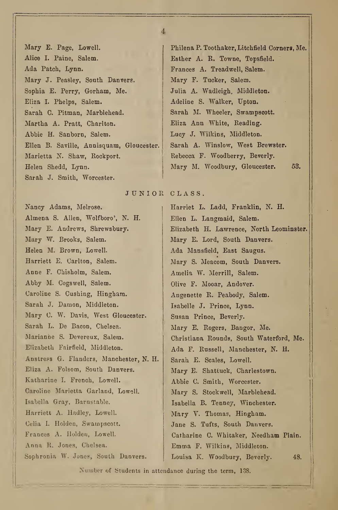Alice I. Paine, Salem. **Esther A. R. Towne, Topsfield.** Ada Patch, Lynn. Frances A. Treadwell, Salem. Mary J. Peasley, South Danvers. | Mary F. Tucker, Salem. Sophia E. Perry, Gorham, Me. Julia A. Wadleigh, Middleton. Eliza I. Phelps, Salem. Adeline S. Walker, Upton. Sarah C. Pitman, Marblehead. | Sarah M. Wheeler, Swampscott. Martha A. Pratt, Charlton. Eliza Ann White, Reading. Abbie H. Sanborn, Salem. Lucy J. Wilkins, Middleton. Ellen B. Saville, Annisquam, Gloucester. Sarah A. Winslow, West Brewster. Marietta N. Shaw, Rockport. Rebecca F. Woodberry, Beverly. Helen Shedd, Lynn. Mary M. Woodbury, Gloucester. 53. Sarah J. Smith, Worcester.

Mary E. Page, Lowell. <br> Philena P. Toothaker, Litchfield Corners, Me.

JUNIOR CLASS.

Almena S. Allen, Wolfboro', N. H. Ellen L. Langmaid, Salem. Mary W. Brooks, Salem. Mary E. Lord, South Danvers. Helen M. Brown, Lowell. | Ada Mansfield, East Saugus. Harriett E. Carlton, Salem. Anne F. Chisholm, Salem. Amelia W. Merrill, Salem. Abby M. Cogswell, Salem. | Olive F. Mooar, Andover. Caroline S. Cushing, Hingham. Angenette R. Peabody, Salem. Sarah J. Damon, Middleton. Isabelle J. Prince, Lynn. Mary C. W. Davis, West Gloucester. Susan Prince, Beverly. Sarah L. De Bacon, Chelsea. Mary E. Rogers, Bangor, Me. Elizabeth Fairfield, Middleton. Ada F. Russell, Manchester, N. H. Anstress G. Flanders, Manchester, N. H. | Sarah E. Scales, Lowell. Eliza A. Folsom, South Danvers. Mary E. Shattuck, Charlestown. Katharine I. French, Lowell. Abbie C. Smith, Worcester. Caroline Marietta Garland, Lowell. Mary S. Stockwell, Marblehead. Isabella Gray, Barnstable. Isabella B. Tenney, Winchester. Harriett A. Hadley, Lowell. Mary V. Thomas, Hingham. Celia I. Holden, Swampscott. Jane S. Tufts, South Danvers. Anna R. Jones, Chelsea. **Emma F. Wilkins, Middleton.** 

Nancy Adams, Melrose. (a) Harriet L. Ladd, Franklin, N. H. Mary E. Andrews, Shrewsbury. Elizabeth H. Lawrence, North Leominster. Mary S. Meacom, South Danvers. Marianne S. Devereux, Salem. | Christiana Rounds, South Waterford, Me. Frances A. Holden, Lowell. Catharine C. Whitaker, Needham Plain. Sophronia W. Jones, South Danvers. | Louisa K. Woodbury, Beverly. 48.

Number of Students in attcndance during the term, 138.

4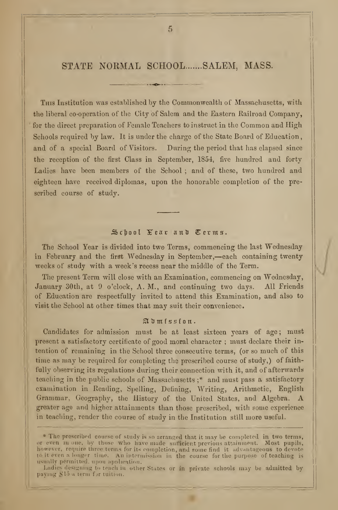### STATE NORMAL SCHOOL.......SALEM, MASS.

This Institution was established by the Commonwealth of Massachusetts, with the liberal co-operation of tlie City of Salem and the Eastern Railroad Company, for the direct preparation of Female Teachers to instruct in the Common and High Schools required by law. It is under the charge of the State Board of Education, and of a special Board of Visitors. During the period that has elapsed since the reception of the first Class in September, 1854, five hundred and forty Ladies have been members of the School ; and of these, two hundred and eighteen have received diplomas, upon the honorable completion of the prescribed course of study.

#### School Year and Terms.

The School Year is divided into two Terms, commencing the last Wednesday in February and the first Wednesday in September,—each containing twenty weeks of study with a week's recess near the middle of the Term.

The present Term will close with an Examination, commencing on Wednesday, January 30th, at 9 o'clock, A. M., and continuing two days. All Friends of Education are respectfully invited to attend this Examination, and also to visit the School at other times that may suit their convenience.

#### Admission.

Candidates for admission must be at least sixteen years of age; must present a satisfactory certificate of good moral character ; must declare their intention of remaining in the School three consecutive terms, (or so much of this time as may be required for completing the prescribed course of study,) of faithfully observing its regulations during their connection with it, and of afterwards teaching in the public schools of Massachusetts ;\* and must pass a satisfactory examination in Reading, Spelling, Defining, Writing, Arithmetic, English Grammar, Geography, the History of the United States, and Algebra. A greater age and higher attainments than those prescribed, with some experience in teaching, render the course of study in the Institution still more useful.

<sup>\*</sup> The prescribed course of study is so arranged that it may be completed in two terms, or even in one, by those who have made sufficient previous attainment. Most pupils, however, require three terms for its completion, and some find it advantageous to devote  $\|\cdot\|$ to it even a longer time. An intermission in the course for the purpose of teaching is usually permitted, upon application,

Ladies designing to teach in other States or in private schools may be admitted by  $||\,||$ paying \$15 a term for tuition.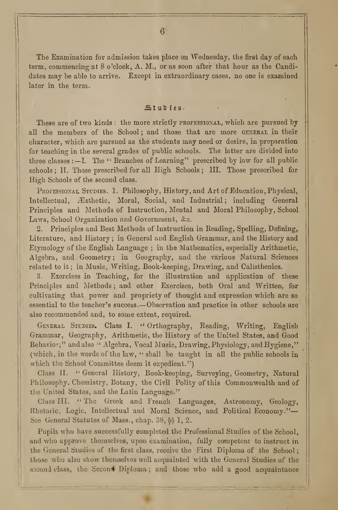The Examination for admission takes place on Wednesday, the first day of each term, commencing at 8 o'clock, A. M., or as soon after that hour as the Candidates may be able to arrive. Except in extraordinary cases, no one is examined later in the term.

#### Studies.

These are of two kinds : the more strictly PROFESSIONAL, which are pursued by all the members of the School; and those that are more GENERAL in their character, which are pursued as the students may need or desire, in preparation for teaching in the several grades of public schools. The latter are divided into three classes : $-I$ . The " Branches of Learning" prescribed by law for all public schools ; II. Those prescribed for all High Schools ; III. Those prescribed for High Schools of the second class.

PROFESSIONAL STUDIES. 1. Philosophy, History, and Art of Education, Physical, Intellectual, Æsthetic, Moral, Social, and Industrial; including General Principles and Methods of Instruction, Mental and Moral Philosophy, School Laws, School Organization and Government, &c.

2. Principles and Best Methods of Instruction in Reading, Spelling, Defining, Literature, and History ; in General and English Grammar, and the History and Etymology of the English Language ; in the Mathematics, especially Arithmetic, Algebra, and Geometry ; in Geography, and the various Natural Sciences related to it ; in Music, Writing, Book-keeping, Drawing, and Calisthenics.

3. Exercises in Teaching, for the illustration and application of these Principles and Methods ; and other Exercises, both Oral and Written, for cultivating that power and propriety of thought and expression which are so essential to the teacher's success. —Observation and practice in other schools are also recommended and, to some extent, required.

GENERAL STUDIES. Class I. " Orthography, Reading, Writing, English Grammar, Geography, Arithmetic, the History of the United States, and Good Behavior;" and also " Algebra, Vocal Music, Drawing, Physiology, and Hygiene," (which, in the words of the law, " shall be taught in all the public schools in which the School Committee deem it expedient.'")

Class 11. " General History, Book-keeping, Surveying, Geometry, Natural Philosophy, Chemistry, Botany, the Civil Polity of this Commonwealth and of the United States, and the Latin Language."

Class III. "The Greek and French Languages, Astronomy, Geology, Rhetoric, Logic, Intellectual and Moral Science, and Political Economy."— See General Statutes of Mass., chap. 38,  $\delta$  1, 2.

Pupils who have successfully completed the Professional Studies of the School, and who approve themselves, upon examination, fully competent to instruct in the General Studies of the first class, receive the First Diploma of the School thoso who also show themselves well acquainted with the General Studies of the second class, the Second Diploma; and those who add a good acquaintance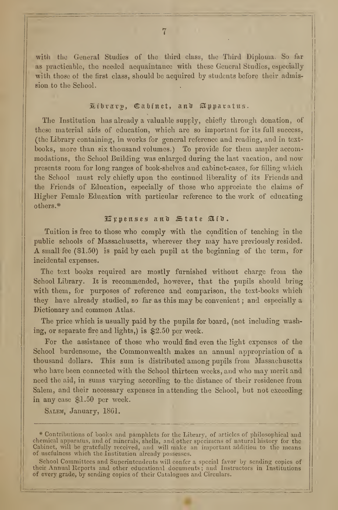with the General Studies of the third class, the Third Diploma. So far as practicable, the needed acquaintance with these General Studies, ewpecially with those of the first class, should be acquired by students before their admission to the School.

## Library, Cabinet, and Apparatus.

The Institution has already a valuable supply, chiefly through donation, of these material aids of education, which are so important for its full success, (the Library containing, in works for general reference and reading, and in text books, more than six thousand volumes.) To provide for them ampler accommodations, the School Building was enlarged during the last vacation, and now presents room for long ranges of book-shelves and cabinet-cases, for filling which the School must rely chiefly upon the continued liberality of its Friends and the Friends of Education, especially of those who appreciate the claims of Higher Female Education with particular reference to the work of educating others.\*

#### $\mathbb F$ ppenses and State Aid.

Tuition is free to those who comply with the condition of teaching in the public schools of Massachusetts, wherever they may have previously resided. A small fee (SI. 50) is paid by each pupil at the beginning of the term, for incidental expenses.

The text books required are mostly furnished without charge from the School Library. It is recommended, however, that the pupils should bring with them, for purposes of reference and comparison, the text-books which they have already studied, so far as this may be convenient ; and especially a Dictionary and common Atlas.

The price which is usually paid by the pupils for board, (not including washing, or separate fire and lights,) is \$2.50 per week.

For the assistance of those who would find even the light expenses of the School burdensome, the Commonwealth makes an annual appropriation of a thousand dollars. This sum is distributed among pupils from Massachusetts who have been connected with the School thirteen weeks, and who may merit and need the aid, in sums varying according to the distance of their residence from Salem, and their necessary expenses in attending the School, but not exceeding in any case \$1.50 per week.

SALEM, January, 1861.

School Committees and Superintendents will confer a special favor by sending copies of their Annual Reports and other educational documents; and Instructors in Institutions of every grade, by sending copies of their Catalogues and Circulars.

 $*$  Contributions of books and pamphlets for the Library, of articles of philosophical and  $||$ chemical apparatus, and of minerals, shells, and other specimens of natural history for the  $\parallel\parallel$ Cabinet, will be gratefully received, and will make an important addition to the means  $||\cdot||$ of usefulness which the Institution already possesses.